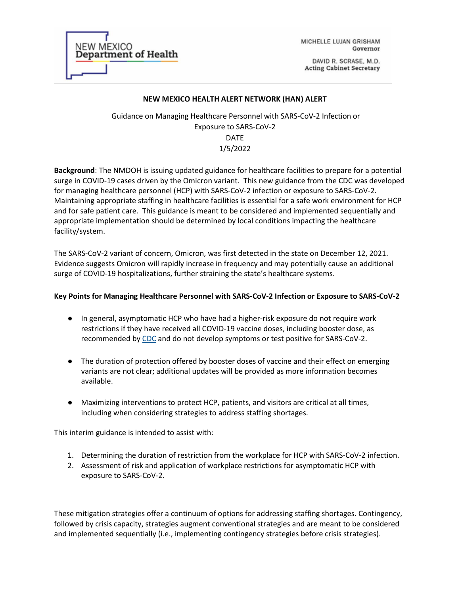| <b>NEW MEXICO</b>           |
|-----------------------------|
| <b>Department of Health</b> |
|                             |
|                             |

MICHELLE LUJAN GRISHAM Governor

DAVID R. SCRASE, M.D. **Acting Cabinet Secretary** 

#### **NEW MEXICO HEALTH ALERT NETWORK (HAN) ALERT**

 Guidance on Managing Healthcare Personnel with SARS-CoV-2 Infection or Exposure to SARS-CoV-2 DATE 1/5/2022

**Background**: The NMDOH is issuing updated guidance for healthcare facilities to prepare for a potential surge in COVID-19 cases driven by the Omicron variant. This new guidance from the CDC was developed for managing healthcare personnel (HCP) with SARS-CoV-2 infection or exposure to SARS-CoV-2. Maintaining appropriate staffing in healthcare facilities is essential for a safe work environment for HCP and for safe patient care. This guidance is meant to be considered and implemented sequentially and appropriate implementation should be determined by local conditions impacting the healthcare facility/system.

The SARS-CoV-2 variant of concern, Omicron, was first detected in the state on December 12, 2021. Evidence suggests Omicron will rapidly increase in frequency and may potentially cause an additional surge of COVID-19 hospitalizations, further straining the state's healthcare systems.

## **Key Points for Managing Healthcare Personnel with SARS-CoV-2 Infection or Exposure to SARS-CoV-2**

- In general, asymptomatic HCP who have had a higher-risk exposure do not require work restrictions if they have received all COVID-19 vaccine doses, including booster dose, as recommended by [CDC](https://www.cdc.gov/vaccines/covid-19/clinical-considerations/covid-19-vaccines-us.html) and do not develop symptoms or test positive for SARS-CoV-2.
- The duration of protection offered by booster doses of vaccine and their effect on emerging variants are not clear; additional updates will be provided as more information becomes available.
- Maximizing interventions to protect HCP, patients, and visitors are critical at all times, including when considering strategies to address staffing shortages.

This interim guidance is intended to assist with:

- 1. Determining the duration of restriction from the workplace for HCP with SARS-CoV-2 infection.
- 2. Assessment of risk and application of workplace restrictions for asymptomatic HCP with exposure to SARS-CoV-2.

These mitigation strategies offer a continuum of options for addressing staffing shortages. Contingency, followed by crisis capacity, strategies augment conventional strategies and are meant to be considered and implemented sequentially (i.e., implementing contingency strategies before crisis strategies).